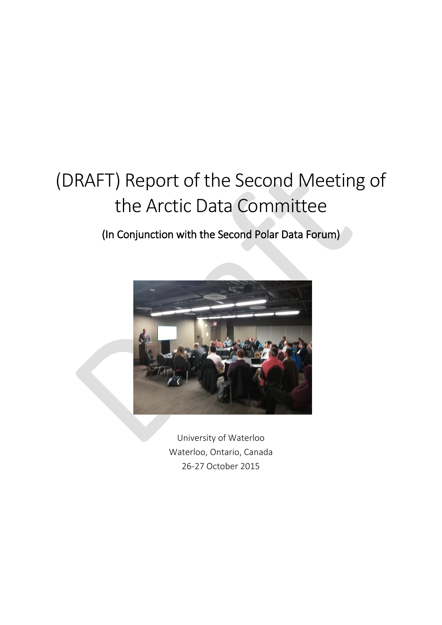# (DRAFT) Report of the Second Meeting of the Arctic Data Committee

(In Conjunction with the Second Polar Data Forum)



University of Waterloo Waterloo, Ontario, Canada 26-27 October 2015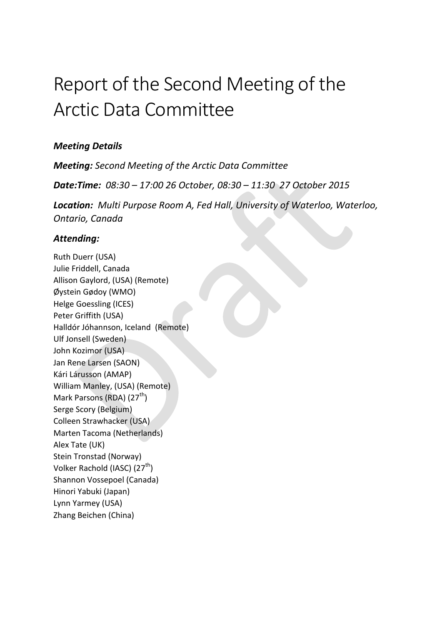# Report of the Second Meeting of the Arctic Data Committee

## *Meeting Details*

*Meeting: Second Meeting of the Arctic Data Committee Date:Time: 08:30 – 17:00 26 October, 08:30 – 11:30 27 October 2015 Location: Multi Purpose Room A, Fed Hall, University of Waterloo, Waterloo, Ontario, Canada*

## *Attending:*

Ruth Duerr (USA) Julie Friddell, Canada Allison Gaylord, (USA) (Remote) Øystein Gødoy (WMO) Helge Goessling (ICES) Peter Griffith (USA) Halldór Jóhannson, Iceland (Remote) Ulf Jonsell (Sweden) John Kozimor (USA) Jan Rene Larsen (SAON) Kári Lárusson (AMAP) William Manley, (USA) (Remote) Mark Parsons (RDA) (27<sup>th</sup>) Serge Scory (Belgium) Colleen Strawhacker (USA) Marten Tacoma (Netherlands) Alex Tate (UK) Stein Tronstad (Norway) Volker Rachold (IASC) (27<sup>th</sup>) Shannon Vossepoel (Canada) Hinori Yabuki (Japan) Lynn Yarmey (USA) Zhang Beichen (China)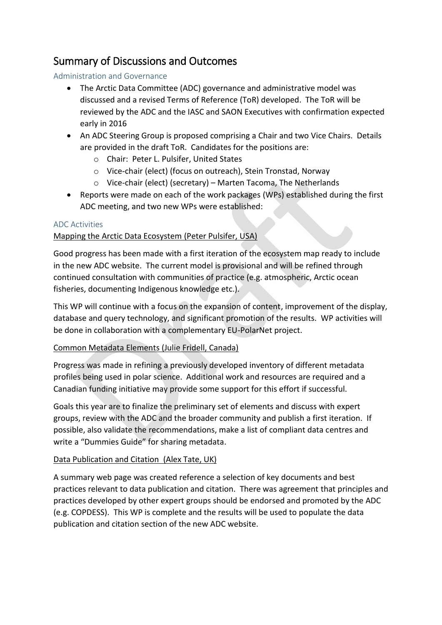## Summary of Discussions and Outcomes

## Administration and Governance

- The Arctic Data Committee (ADC) governance and administrative model was discussed and a revised Terms of Reference (ToR) developed. The ToR will be reviewed by the ADC and the IASC and SAON Executives with confirmation expected early in 2016
- An ADC Steering Group is proposed comprising a Chair and two Vice Chairs. Details are provided in the draft ToR. Candidates for the positions are:
	- o Chair: Peter L. Pulsifer, United States
	- o Vice-chair (elect) (focus on outreach), Stein Tronstad, Norway
	- o Vice-chair (elect) (secretary) Marten Tacoma, The Netherlands
- Reports were made on each of the work packages (WPs) established during the first ADC meeting, and two new WPs were established:

## ADC Activities

## Mapping the Arctic Data Ecosystem (Peter Pulsifer, USA)

Good progress has been made with a first iteration of the ecosystem map ready to include in the new ADC website. The current model is provisional and will be refined through continued consultation with communities of practice (e.g. atmospheric, Arctic ocean fisheries, documenting Indigenous knowledge etc.).

This WP will continue with a focus on the expansion of content, improvement of the display, database and query technology, and significant promotion of the results. WP activities will be done in collaboration with a complementary EU-PolarNet project.

## Common Metadata Elements (Julie Fridell, Canada)

Progress was made in refining a previously developed inventory of different metadata profiles being used in polar science. Additional work and resources are required and a Canadian funding initiative may provide some support for this effort if successful.

Goals this year are to finalize the preliminary set of elements and discuss with expert groups, review with the ADC and the broader community and publish a first iteration. If possible, also validate the recommendations, make a list of compliant data centres and write a "Dummies Guide" for sharing metadata.

## Data Publication and Citation (Alex Tate, UK)

A summary web page was created reference a selection of key documents and best practices relevant to data publication and citation. There was agreement that principles and practices developed by other expert groups should be endorsed and promoted by the ADC (e.g. COPDESS). This WP is complete and the results will be used to populate the data publication and citation section of the new ADC website.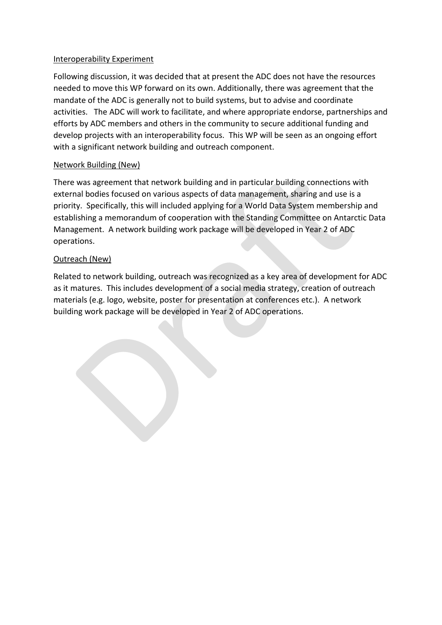### Interoperability Experiment

Following discussion, it was decided that at present the ADC does not have the resources needed to move this WP forward on its own. Additionally, there was agreement that the mandate of the ADC is generally not to build systems, but to advise and coordinate activities. The ADC will work to facilitate, and where appropriate endorse, partnerships and efforts by ADC members and others in the community to secure additional funding and develop projects with an interoperability focus. This WP will be seen as an ongoing effort with a significant network building and outreach component.

## Network Building (New)

There was agreement that network building and in particular building connections with external bodies focused on various aspects of data management, sharing and use is a priority. Specifically, this will included applying for a World Data System membership and establishing a memorandum of cooperation with the Standing Committee on Antarctic Data Management. A network building work package will be developed in Year 2 of ADC operations.

## Outreach (New)

Related to network building, outreach was recognized as a key area of development for ADC as it matures. This includes development of a social media strategy, creation of outreach materials (e.g. logo, website, poster for presentation at conferences etc.). A network building work package will be developed in Year 2 of ADC operations.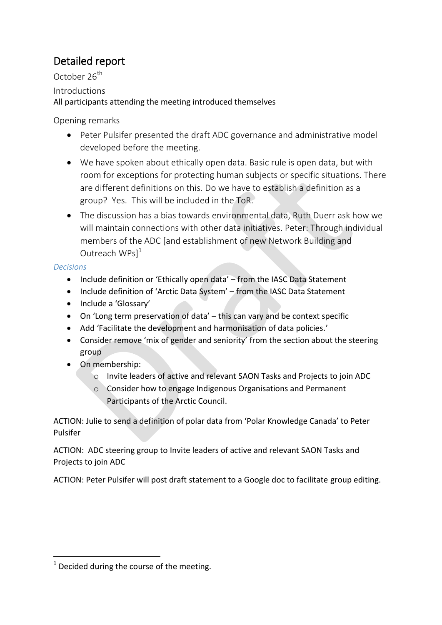# Detailed report

October 26<sup>th</sup>

Introductions

All participants attending the meeting introduced themselves

Opening remarks

- Peter Pulsifer presented the draft ADC governance and administrative model developed before the meeting.
- We have spoken about ethically open data. Basic rule is open data, but with room for exceptions for protecting human subjects or specific situations. There are different definitions on this. Do we have to establish a definition as a group? Yes. This will be included in the ToR.
- The discussion has a bias towards environmental data, Ruth Duerr ask how we will maintain connections with other data initiatives. Peter: Through individual members of the ADC [and establishment of new Network Building and Outreach  $WPs$ <sup>1</sup>

## *Decisions*

<u>.</u>

- Include definition or 'Ethically open data' from the IASC Data Statement
- Include definition of 'Arctic Data System' from the IASC Data Statement
- Include a 'Glossary'
- On 'Long term preservation of data' this can vary and be context specific
- Add 'Facilitate the development and harmonisation of data policies.'
- Consider remove 'mix of gender and seniority' from the section about the steering group
- On membership:
	- o Invite leaders of active and relevant SAON Tasks and Projects to join ADC
	- o Consider how to engage Indigenous Organisations and Permanent Participants of the Arctic Council.

ACTION: Julie to send a definition of polar data from 'Polar Knowledge Canada' to Peter Pulsifer

ACTION: ADC steering group to Invite leaders of active and relevant SAON Tasks and Projects to join ADC

ACTION: Peter Pulsifer will post draft statement to a Google doc to facilitate group editing.

 $1$  Decided during the course of the meeting.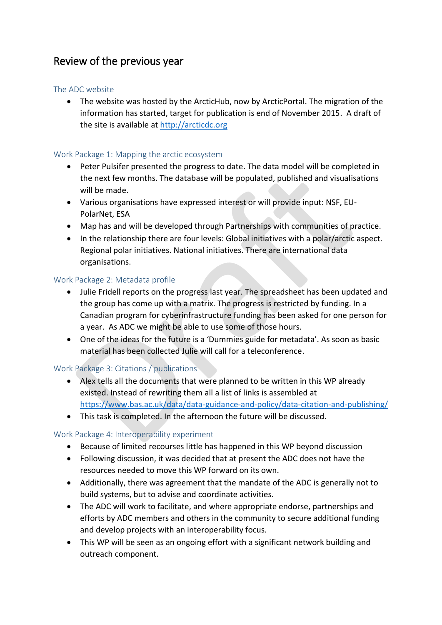## Review of the previous year

### The ADC website

 The website was hosted by the ArcticHub, now by ArcticPortal. The migration of the information has started, target for publication is end of November 2015. A draft of the site is available at [http://arcticdc.org](http://arcticdc.org/)

### Work Package 1: Mapping the arctic ecosystem

- Peter Pulsifer presented the progress to date. The data model will be completed in the next few months. The database will be populated, published and visualisations will be made.
- Various organisations have expressed interest or will provide input: NSF, EU-PolarNet, ESA
- Map has and will be developed through Partnerships with communities of practice.
- In the relationship there are four levels: Global initiatives with a polar/arctic aspect. Regional polar initiatives. National initiatives. There are international data organisations.

### Work Package 2: Metadata profile

- Julie Fridell reports on the progress last year. The spreadsheet has been updated and the group has come up with a matrix. The progress is restricted by funding. In a Canadian program for cyberinfrastructure funding has been asked for one person for a year. As ADC we might be able to use some of those hours.
- One of the ideas for the future is a 'Dummies guide for metadata'. As soon as basic material has been collected Julie will call for a teleconference.

## Work Package 3: Citations / publications

- Alex tells all the documents that were planned to be written in this WP already existed. Instead of rewriting them all a list of links is assembled at <https://www.bas.ac.uk/data/data-guidance-and-policy/data-citation-and-publishing/>
- This task is completed. In the afternoon the future will be discussed.

## Work Package 4: Interoperability experiment

- Because of limited recourses little has happened in this WP beyond discussion
- Following discussion, it was decided that at present the ADC does not have the resources needed to move this WP forward on its own.
- Additionally, there was agreement that the mandate of the ADC is generally not to build systems, but to advise and coordinate activities.
- The ADC will work to facilitate, and where appropriate endorse, partnerships and efforts by ADC members and others in the community to secure additional funding and develop projects with an interoperability focus.
- This WP will be seen as an ongoing effort with a significant network building and outreach component.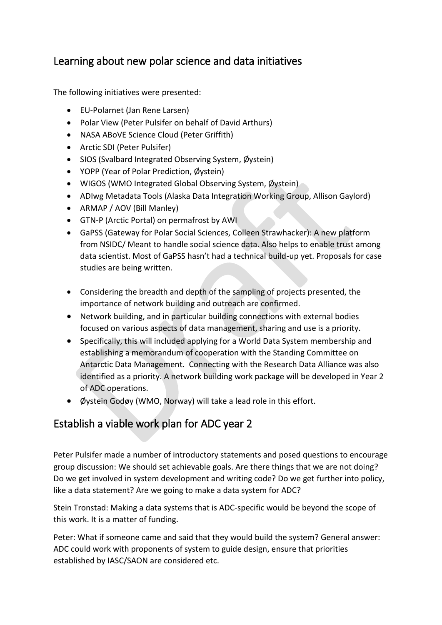## Learning about new polar science and data initiatives

The following initiatives were presented:

- EU-Polarnet (Jan Rene Larsen)
- Polar View (Peter Pulsifer on behalf of David Arthurs)
- NASA ABoVE Science Cloud (Peter Griffith)
- Arctic SDI (Peter Pulsifer)
- SIOS (Svalbard Integrated Observing System, Øystein)
- YOPP (Year of Polar Prediction, Øystein)
- WIGOS (WMO Integrated Global Observing System, Øystein)
- ADIwg Metadata Tools (Alaska Data Integration Working Group, Allison Gaylord)
- ARMAP / AOV (Bill Manley)
- GTN-P (Arctic Portal) on permafrost by AWI
- GaPSS (Gateway for Polar Social Sciences, Colleen Strawhacker): A new platform from NSIDC/ Meant to handle social science data. Also helps to enable trust among data scientist. Most of GaPSS hasn't had a technical build-up yet. Proposals for case studies are being written.
- Considering the breadth and depth of the sampling of projects presented, the importance of network building and outreach are confirmed.
- Network building, and in particular building connections with external bodies focused on various aspects of data management, sharing and use is a priority.
- Specifically, this will included applying for a World Data System membership and establishing a memorandum of cooperation with the Standing Committee on Antarctic Data Management. Connecting with the Research Data Alliance was also identified as a priority. A network building work package will be developed in Year 2 of ADC operations.
- Øystein Godøy (WMO, Norway) will take a lead role in this effort.

## Establish a viable work plan for ADC year 2

Peter Pulsifer made a number of introductory statements and posed questions to encourage group discussion: We should set achievable goals. Are there things that we are not doing? Do we get involved in system development and writing code? Do we get further into policy, like a data statement? Are we going to make a data system for ADC?

Stein Tronstad: Making a data systems that is ADC-specific would be beyond the scope of this work. It is a matter of funding.

Peter: What if someone came and said that they would build the system? General answer: ADC could work with proponents of system to guide design, ensure that priorities established by IASC/SAON are considered etc.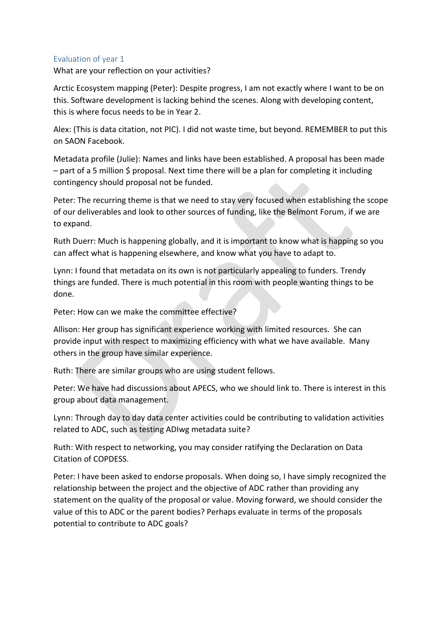### Evaluation of year 1

What are your reflection on your activities?

Arctic Ecosystem mapping (Peter): Despite progress, I am not exactly where I want to be on this. Software development is lacking behind the scenes. Along with developing content, this is where focus needs to be in Year 2.

Alex: (This is data citation, not PIC). I did not waste time, but beyond. REMEMBER to put this on SAON Facebook.

Metadata profile (Julie): Names and links have been established. A proposal has been made  $-$  part of a 5 million \$ proposal. Next time there will be a plan for completing it including contingency should proposal not be funded.

Peter: The recurring theme is that we need to stay very focused when establishing the scope of our deliverables and look to other sources of funding, like the Belmont Forum, if we are to expand.

Ruth Duerr: Much is happening globally, and it is important to know what is happing so you can affect what is happening elsewhere, and know what you have to adapt to.

Lynn: I found that metadata on its own is not particularly appealing to funders. Trendy things are funded. There is much potential in this room with people wanting things to be done.

Peter: How can we make the committee effective?

Allison: Her group has significant experience working with limited resources. She can provide input with respect to maximizing efficiency with what we have available. Many others in the group have similar experience.

Ruth: There are similar groups who are using student fellows.

Peter: We have had discussions about APECS, who we should link to. There is interest in this group about data management.

Lynn: Through day to day data center activities could be contributing to validation activities related to ADC, such as testing ADIwg metadata suite?

Ruth: With respect to networking, you may consider ratifying the Declaration on Data Citation of COPDESS.

Peter: I have been asked to endorse proposals. When doing so, I have simply recognized the relationship between the project and the objective of ADC rather than providing any statement on the quality of the proposal or value. Moving forward, we should consider the value of this to ADC or the parent bodies? Perhaps evaluate in terms of the proposals potential to contribute to ADC goals?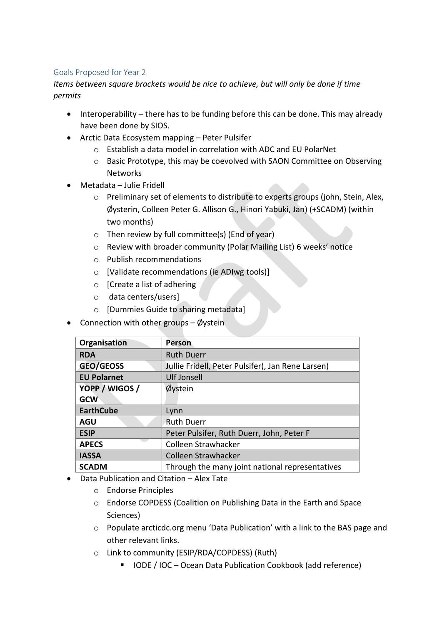## Goals Proposed for Year 2

*Items between square brackets would be nice to achieve, but will only be done if time permits*

- Interoperability there has to be funding before this can be done. This may already have been done by SIOS.
- Arctic Data Ecosystem mapping Peter Pulsifer
	- o Establish a data model in correlation with ADC and EU PolarNet
	- o Basic Prototype, this may be coevolved with SAON Committee on Observing Networks
- Metadata Julie Fridell
	- o Preliminary set of elements to distribute to experts groups (john, Stein, Alex, Øysterin, Colleen Peter G. Allison G., Hinori Yabuki, Jan) (+SCADM) (within two months)
	- $\circ$  Then review by full committee(s) (End of year)
	- o Review with broader community (Polar Mailing List) 6 weeks' notice
	- o Publish recommendations
	- o [Validate recommendations (ie ADIwg tools)]
	- o [Create a list of adhering
	- o data centers/users]
	- o [Dummies Guide to sharing metadata]
- Connection with other groups Øystein

| Organisation       | <b>Person</b>                                     |
|--------------------|---------------------------------------------------|
| <b>RDA</b>         | <b>Ruth Duerr</b>                                 |
| <b>GEO/GEOSS</b>   | Jullie Fridell, Peter Pulsifer(, Jan Rene Larsen) |
| <b>EU Polarnet</b> | <b>Ulf Jonsell</b>                                |
| YOPP / WIGOS /     | Øystein                                           |
| <b>GCW</b>         |                                                   |
| <b>EarthCube</b>   | Lynn                                              |
| <b>AGU</b>         | <b>Ruth Duerr</b>                                 |
| <b>ESIP</b>        | Peter Pulsifer, Ruth Duerr, John, Peter F         |
| <b>APECS</b>       | Colleen Strawhacker                               |
| <b>IASSA</b>       | Colleen Strawhacker                               |
| <b>SCADM</b>       | Through the many joint national representatives   |

- Data Publication and Citation Alex Tate
	- o Endorse Principles
	- o Endorse COPDESS (Coalition on Publishing Data in the Earth and Space Sciences)
	- o Populate arcticdc.org menu 'Data Publication' with a link to the BAS page and other relevant links.
	- o Link to community (ESIP/RDA/COPDESS) (Ruth)
		- IODE / IOC Ocean Data Publication Cookbook (add reference)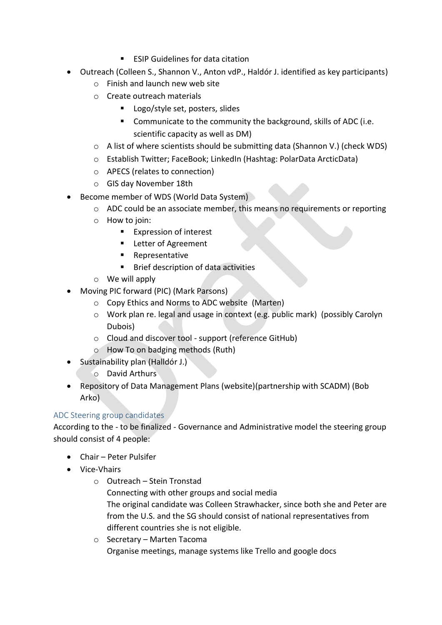- ESIP Guidelines for data citation
- Outreach (Colleen S., Shannon V., Anton vdP., Haldór J. identified as key participants)
	- o Finish and launch new web site
	- o Create outreach materials
		- **Logo/style set, posters, slides**
		- **Communicate to the community the background, skills of ADC (i.e.** scientific capacity as well as DM)
	- o A list of where scientists should be submitting data (Shannon V.) (check WDS)
	- o Establish Twitter; FaceBook; LinkedIn (Hashtag: PolarData ArcticData)
	- o APECS (relates to connection)
	- o GIS day November 18th
- Become member of WDS (World Data System)
	- o ADC could be an associate member, this means no requirements or reporting
	- o How to join:
		- **Expression of interest**
		- **EXEC** Letter of Agreement
		- **Representative**
		- **Brief description of data activities**
	- o We will apply
- Moving PIC forward (PIC) (Mark Parsons)
	- o Copy Ethics and Norms to ADC website (Marten)
	- o Work plan re. legal and usage in context (e.g. public mark) (possibly Carolyn Dubois)
	- o Cloud and discover tool support (reference GitHub)
	- o How To on badging methods (Ruth)
- Sustainability plan (Halldór J.)
	- o David Arthurs
- Repository of Data Management Plans (website)(partnership with SCADM) (Bob Arko)

## ADC Steering group candidates

According to the - to be finalized - Governance and Administrative model the steering group should consist of 4 people:

- Chair Peter Pulsifer
- Vice-Vhairs
	- o Outreach Stein Tronstad Connecting with other groups and social media The original candidate was Colleen Strawhacker, since both she and Peter are from the U.S. and the SG should consist of national representatives from different countries she is not eligible.
	- o Secretary Marten Tacoma Organise meetings, manage systems like Trello and google docs